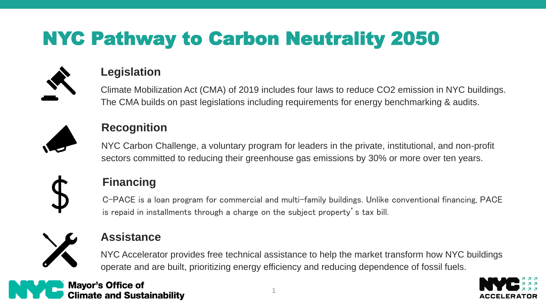# NYC Pathway to Carbon Neutrality 2050



#### **Legislation**

Climate Mobilization Act (CMA) of 2019 includes four laws to reduce CO2 emission in NYC buildings. The CMA builds on past legislations including requirements for energy benchmarking & audits.



### **Recognition**

NYC Carbon Challenge, a voluntary program for leaders in the private, institutional, and non-profit sectors committed to reducing their greenhouse gas emissions by 30% or more over ten years.



### **Financing**

C-PACE is a loan program for commercial and multi-family buildings. Unlike conventional financing, PACE is repaid in installments through a charge on the subject property's tax bill.



#### **Assistance**

NYC Accelerator provides free technical assistance to help the market transform how NYC buildings operate and are built, prioritizing energy efficiency and reducing dependence of fossil fuels.



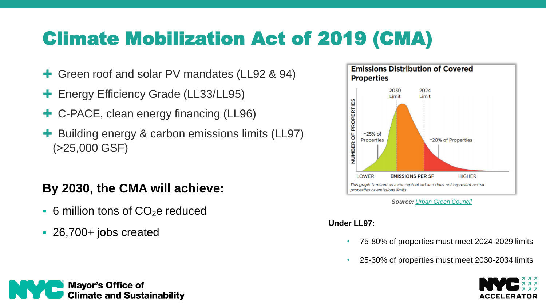## Climate Mobilization Act of 2019 (CMA)

- **+** Green roof and solar PV mandates (LL92 & 94)
- **+ Energy Efficiency Grade (LL33/LL95)**
- C-PACE, clean energy financing (LL96)
- Building energy & carbon emissions limits (LL97) (>25,000 GSF)

### **By 2030, the CMA will achieve:**

- $\bullet$  6 million tons of CO<sub>2</sub>e reduced
- 26,700+ jobs created



*Source: [Urban Green Council](https://www.urbangreencouncil.org/sites/default/files/2020.07.09_urban_green_building_emissions_law_summary_revised_11.17.2020.pdf)*

#### **Under LL97:**

- 75-80% of properties must meet 2024-2029 limits
- 25-30% of properties must meet 2030-2034 limits